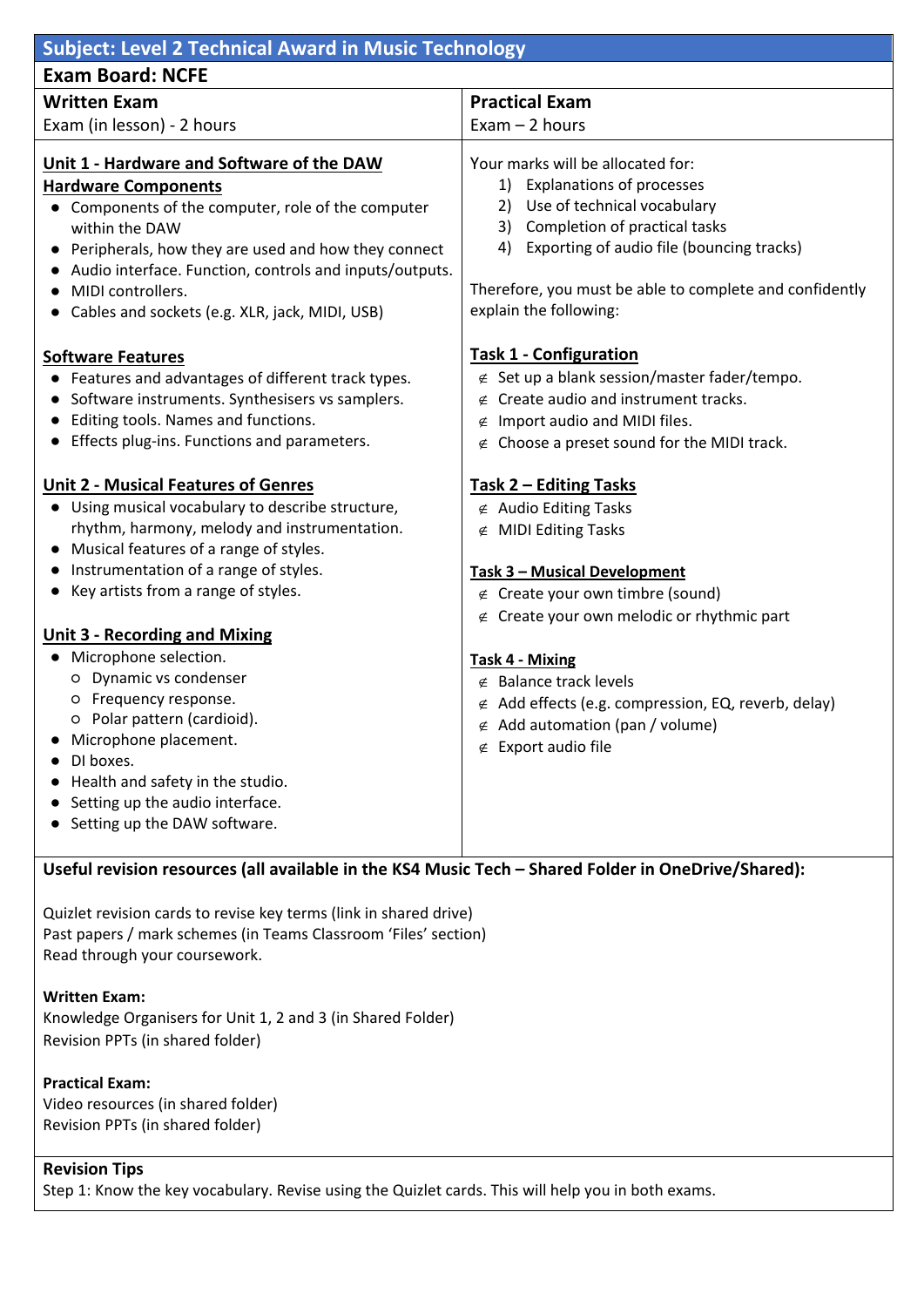| <b>Subject: Level 2 Technical Award in Music Technology</b>                                                                                                                                                                                                                                                                                                                                                                                                                                                       |                                                                                                                                                                                                                                                                                                                                                                                                                                                                           |
|-------------------------------------------------------------------------------------------------------------------------------------------------------------------------------------------------------------------------------------------------------------------------------------------------------------------------------------------------------------------------------------------------------------------------------------------------------------------------------------------------------------------|---------------------------------------------------------------------------------------------------------------------------------------------------------------------------------------------------------------------------------------------------------------------------------------------------------------------------------------------------------------------------------------------------------------------------------------------------------------------------|
| <b>Exam Board: NCFE</b>                                                                                                                                                                                                                                                                                                                                                                                                                                                                                           |                                                                                                                                                                                                                                                                                                                                                                                                                                                                           |
| <b>Written Exam</b>                                                                                                                                                                                                                                                                                                                                                                                                                                                                                               | <b>Practical Exam</b>                                                                                                                                                                                                                                                                                                                                                                                                                                                     |
| Exam (in lesson) - 2 hours                                                                                                                                                                                                                                                                                                                                                                                                                                                                                        | $Exam - 2 hours$                                                                                                                                                                                                                                                                                                                                                                                                                                                          |
| Unit 1 - Hardware and Software of the DAW<br><b>Hardware Components</b><br>Components of the computer, role of the computer<br>within the DAW<br>Peripherals, how they are used and how they connect<br>Audio interface. Function, controls and inputs/outputs.<br>MIDI controllers.<br>Cables and sockets (e.g. XLR, jack, MIDI, USB)<br><b>Software Features</b><br>Features and advantages of different track types.<br>Software instruments. Synthesisers vs samplers.<br>Editing tools. Names and functions. | Your marks will be allocated for:<br><b>Explanations of processes</b><br>1)<br>2) Use of technical vocabulary<br>Completion of practical tasks<br>3)<br>Exporting of audio file (bouncing tracks)<br>4)<br>Therefore, you must be able to complete and confidently<br>explain the following:<br><b>Task 1 - Configuration</b><br>$\notin$ Set up a blank session/master fader/tempo.<br>Create audio and instrument tracks.<br>∉<br>$\notin$ Import audio and MIDI files. |
| Effects plug-ins. Functions and parameters.                                                                                                                                                                                                                                                                                                                                                                                                                                                                       | $\notin$ Choose a preset sound for the MIDI track.                                                                                                                                                                                                                                                                                                                                                                                                                        |
| <b>Unit 2 - Musical Features of Genres</b><br>Using musical vocabulary to describe structure,<br>rhythm, harmony, melody and instrumentation.<br>Musical features of a range of styles.<br>Instrumentation of a range of styles.<br>Key artists from a range of styles.<br><b>Unit 3 - Recording and Mixing</b>                                                                                                                                                                                                   | Task 2 - Editing Tasks<br>$\notin$ Audio Editing Tasks<br>∉ MIDI Editing Tasks<br>Task 3 - Musical Development<br>∉ Create your own timbre (sound)<br>$\notin$ Create your own melodic or rhythmic part                                                                                                                                                                                                                                                                   |
| Microphone selection.<br>O Dynamic vs condenser<br>O Frequency response.<br>o Polar pattern (cardioid).<br>Microphone placement.<br>DI boxes.<br>Health and safety in the studio.<br>Setting up the audio interface.<br>Setting up the DAW software.                                                                                                                                                                                                                                                              | <b>Task 4 - Mixing</b><br>$\notin$ Balance track levels<br>$\notin$ Add effects (e.g. compression, EQ, reverb, delay)<br>Add automation (pan / volume)<br>∉<br>$\notin$ Export audio file                                                                                                                                                                                                                                                                                 |

## **Useful revision resources (all available in the KS4 Music Tech – Shared Folder in OneDrive/Shared):**

Quizlet revision cards to revise key terms (link in shared drive) Past papers / mark schemes (in Teams Classroom 'Files' section) Read through your coursework.

**Written Exam:** Knowledge Organisers for Unit 1, 2 and 3 (in Shared Folder) Revision PPTs (in shared folder)

**Practical Exam:** Video resources (in shared folder) Revision PPTs (in shared folder)

## **Revision Tips**

Step 1: Know the key vocabulary. Revise using the Quizlet cards. This will help you in both exams.